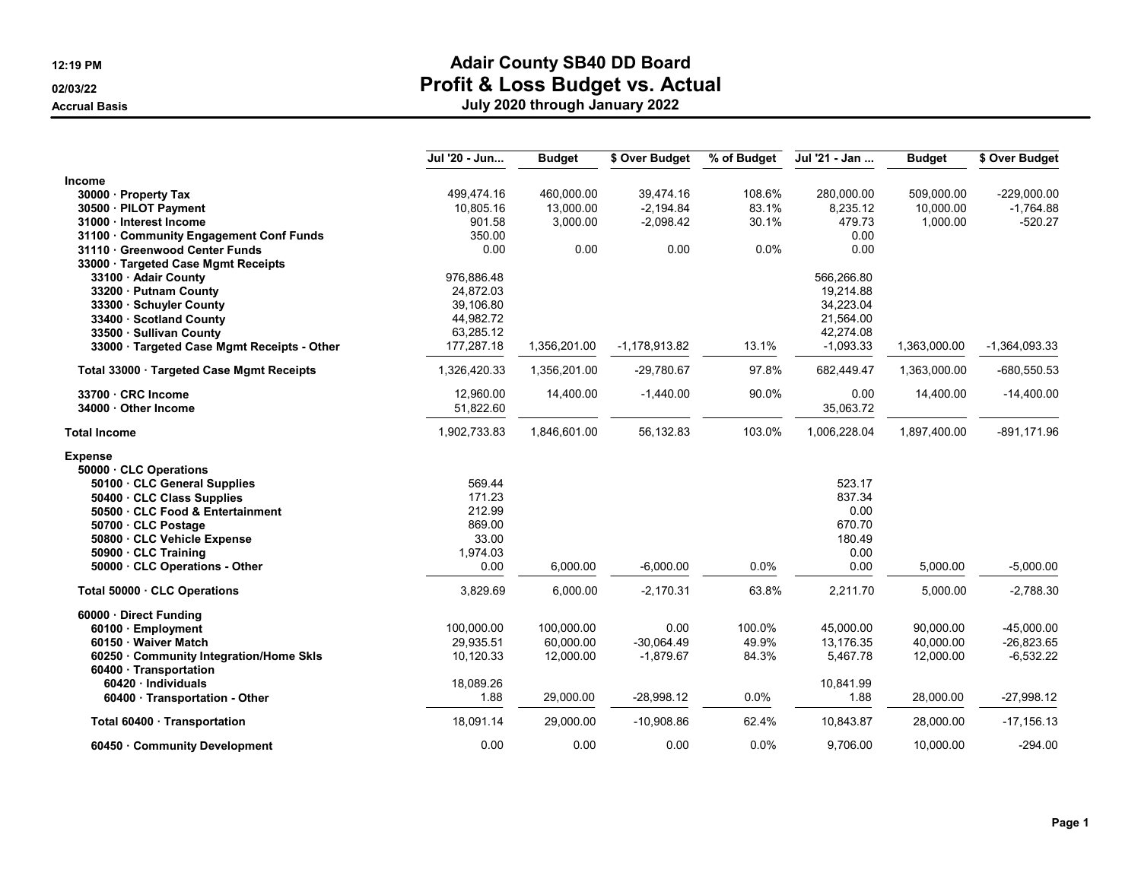|                                             | Jul '20 - Jun | <b>Budget</b> | \$ Over Budget  | % of Budget | Jul '21 - Jan | <b>Budget</b> | \$ Over Budget  |
|---------------------------------------------|---------------|---------------|-----------------|-------------|---------------|---------------|-----------------|
| Income                                      |               |               |                 |             |               |               |                 |
| 30000 Property Tax                          | 499,474.16    | 460,000.00    | 39,474.16       | 108.6%      | 280,000.00    | 509,000.00    | $-229,000.00$   |
| 30500 · PILOT Payment                       | 10,805.16     | 13,000.00     | $-2,194.84$     | 83.1%       | 8,235.12      | 10,000.00     | $-1,764.88$     |
| 31000 · Interest Income                     | 901.58        | 3,000.00      | $-2,098.42$     | 30.1%       | 479.73        | 1,000.00      | $-520.27$       |
| 31100 · Community Engagement Conf Funds     | 350.00        |               |                 |             | 0.00          |               |                 |
| 31110 Greenwood Center Funds                | 0.00          | 0.00          | 0.00            | 0.0%        | 0.00          |               |                 |
| 33000 Targeted Case Mgmt Receipts           |               |               |                 |             |               |               |                 |
| 33100 · Adair County                        | 976,886.48    |               |                 |             | 566,266.80    |               |                 |
| 33200 · Putnam County                       | 24,872.03     |               |                 |             | 19,214.88     |               |                 |
| 33300 · Schuyler County                     | 39,106.80     |               |                 |             | 34,223.04     |               |                 |
| 33400 · Scotland County                     | 44,982.72     |               |                 |             | 21,564.00     |               |                 |
| 33500 · Sullivan County                     | 63,285.12     |               |                 |             | 42,274.08     |               |                 |
| 33000 · Targeted Case Mgmt Receipts - Other | 177,287.18    | 1,356,201.00  | $-1,178,913.82$ | 13.1%       | $-1,093.33$   | 1,363,000.00  | $-1,364,093.33$ |
| Total 33000 · Targeted Case Mgmt Receipts   | 1,326,420.33  | 1,356,201.00  | -29,780.67      | 97.8%       | 682,449.47    | 1,363,000.00  | $-680,550.53$   |
| 33700 · CRC Income                          | 12,960.00     | 14,400.00     | $-1,440.00$     | 90.0%       | 0.00          | 14,400.00     | $-14,400.00$    |
| 34000 Other Income                          | 51,822.60     |               |                 |             | 35,063.72     |               |                 |
| <b>Total Income</b>                         | 1,902,733.83  | 1,846,601.00  | 56,132.83       | 103.0%      | 1,006,228.04  | 1,897,400.00  | $-891, 171.96$  |
| <b>Expense</b>                              |               |               |                 |             |               |               |                 |
| 50000 · CLC Operations                      |               |               |                 |             |               |               |                 |
| 50100 · CLC General Supplies                | 569.44        |               |                 |             | 523.17        |               |                 |
| 50400 · CLC Class Supplies                  | 171.23        |               |                 |             | 837.34        |               |                 |
| 50500 CLC Food & Entertainment              | 212.99        |               |                 |             | 0.00          |               |                 |
| 50700 · CLC Postage                         | 869.00        |               |                 |             | 670.70        |               |                 |
| 50800 · CLC Vehicle Expense                 | 33.00         |               |                 |             | 180.49        |               |                 |
| 50900 · CLC Training                        | 1,974.03      |               |                 |             | 0.00          |               |                 |
| 50000 · CLC Operations - Other              | 0.00          | 6,000.00      | $-6,000.00$     | 0.0%        | 0.00          | 5,000.00      | $-5,000.00$     |
| Total 50000 CLC Operations                  | 3,829.69      | 6,000.00      | $-2,170.31$     | 63.8%       | 2,211.70      | 5,000.00      | $-2,788.30$     |
| 60000 · Direct Funding                      |               |               |                 |             |               |               |                 |
| 60100 · Employment                          | 100,000.00    | 100,000.00    | 0.00            | 100.0%      | 45,000.00     | 90,000.00     | $-45,000.00$    |
| 60150 · Waiver Match                        | 29,935.51     | 60,000.00     | $-30,064.49$    | 49.9%       | 13,176.35     | 40,000.00     | $-26,823.65$    |
| 60250 Community Integration/Home Skls       | 10,120.33     | 12,000.00     | $-1,879.67$     | 84.3%       | 5,467.78      | 12,000.00     | $-6,532.22$     |
| 60400 · Transportation                      |               |               |                 |             |               |               |                 |
| $60420 \cdot$ Individuals                   | 18,089.26     |               |                 |             | 10,841.99     |               |                 |
| 60400 · Transportation - Other              | 1.88          | 29,000.00     | $-28,998.12$    | 0.0%        | 1.88          | 28,000.00     | $-27,998.12$    |
| Total 60400 · Transportation                | 18,091.14     | 29.000.00     | $-10,908.86$    | 62.4%       | 10,843.87     | 28,000.00     | $-17, 156.13$   |
| 60450 Community Development                 | 0.00          | 0.00          | 0.00            | 0.0%        | 9,706.00      | 10,000.00     | $-294.00$       |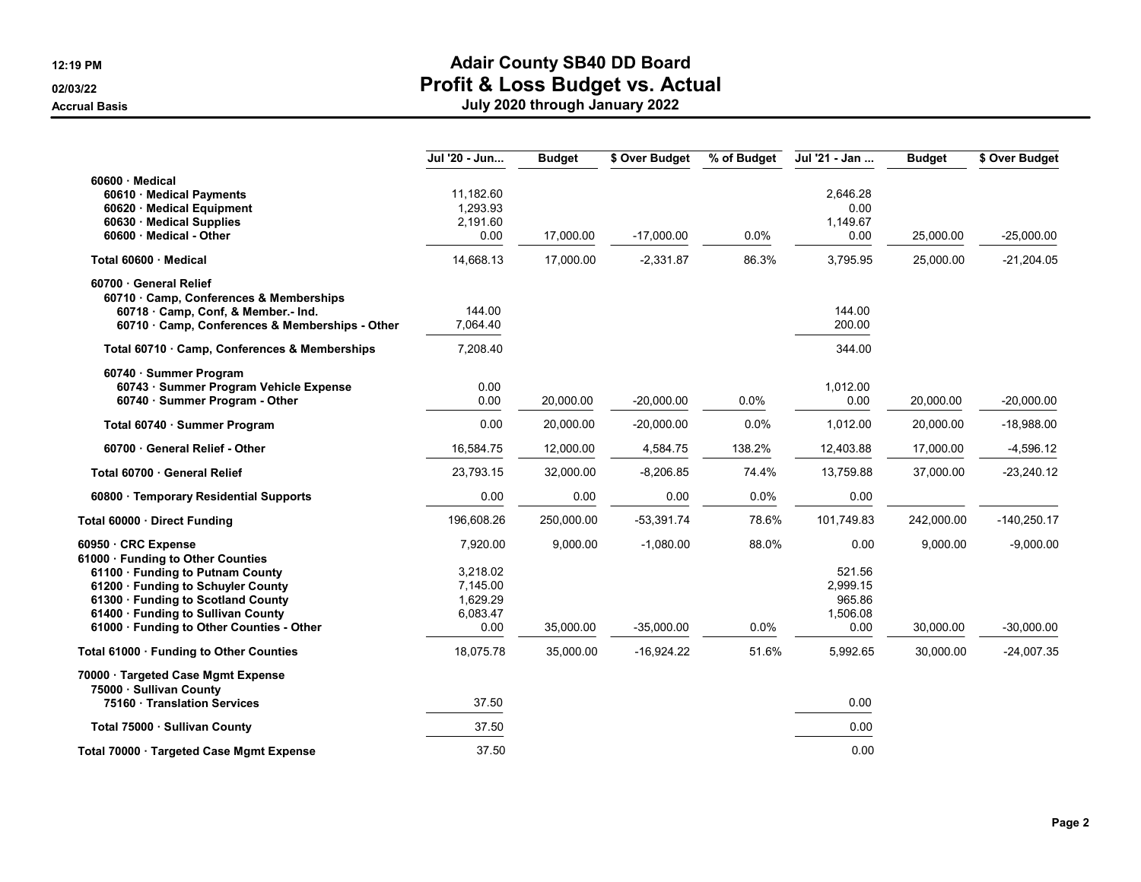|                                                                                                                                                                                                                                      | Jul '20 - Jun                                        | <b>Budget</b> | \$ Over Budget | % of Budget | Jul '21 - Jan                                    | <b>Budget</b> | \$ Over Budget |
|--------------------------------------------------------------------------------------------------------------------------------------------------------------------------------------------------------------------------------------|------------------------------------------------------|---------------|----------------|-------------|--------------------------------------------------|---------------|----------------|
| 60600 · Medical<br>60610 · Medical Payments<br>60620 · Medical Equipment<br>60630 · Medical Supplies<br>60600 Medical - Other                                                                                                        | 11,182.60<br>1,293.93<br>2,191.60<br>0.00            | 17,000.00     | $-17,000.00$   | 0.0%        | 2,646.28<br>0.00<br>1,149.67<br>0.00             | 25,000.00     | $-25,000.00$   |
| Total 60600 Medical                                                                                                                                                                                                                  | 14,668.13                                            | 17,000.00     | $-2,331.87$    | 86.3%       | 3,795.95                                         | 25,000.00     | $-21,204.05$   |
| 60700 General Relief<br>60710 · Camp, Conferences & Memberships<br>60718 · Camp, Conf, & Member.- Ind.<br>60710 · Camp, Conferences & Memberships - Other                                                                            | 144.00<br>7,064.40                                   |               |                |             | 144.00<br>200.00                                 |               |                |
| Total 60710 · Camp, Conferences & Memberships                                                                                                                                                                                        | 7,208.40                                             |               |                |             | 344.00                                           |               |                |
| 60740 · Summer Program<br>60743 · Summer Program Vehicle Expense<br>60740 · Summer Program - Other                                                                                                                                   | 0.00<br>0.00                                         | 20,000.00     | $-20,000.00$   | $0.0\%$     | 1,012.00<br>0.00                                 | 20,000.00     | $-20,000.00$   |
| Total 60740 · Summer Program                                                                                                                                                                                                         | 0.00                                                 | 20,000.00     | $-20,000.00$   | 0.0%        | 1,012.00                                         | 20,000.00     | $-18,988.00$   |
| 60700 · General Relief - Other                                                                                                                                                                                                       | 16,584.75                                            | 12,000.00     | 4,584.75       | 138.2%      | 12,403.88                                        | 17,000.00     | $-4,596.12$    |
| Total 60700 · General Relief                                                                                                                                                                                                         | 23,793.15                                            | 32,000.00     | $-8,206.85$    | 74.4%       | 13,759.88                                        | 37,000.00     | $-23,240.12$   |
| 60800 · Temporary Residential Supports                                                                                                                                                                                               | 0.00                                                 | 0.00          | 0.00           | 0.0%        | 0.00                                             |               |                |
| Total 60000 · Direct Funding                                                                                                                                                                                                         | 196,608.26                                           | 250,000.00    | $-53,391.74$   | 78.6%       | 101,749.83                                       | 242,000.00    | $-140,250.17$  |
| 60950 CRC Expense                                                                                                                                                                                                                    | 7,920.00                                             | 9,000.00      | $-1,080.00$    | 88.0%       | 0.00                                             | 9.000.00      | $-9,000.00$    |
| 61000 · Funding to Other Counties<br>61100 · Funding to Putnam County<br>61200 · Funding to Schuyler County<br>61300 · Funding to Scotland County<br>61400 · Funding to Sullivan County<br>61000 · Funding to Other Counties - Other | 3,218.02<br>7,145.00<br>1,629.29<br>6,083.47<br>0.00 | 35,000.00     | $-35,000.00$   | 0.0%        | 521.56<br>2,999.15<br>965.86<br>1,506.08<br>0.00 | 30,000.00     | $-30,000.00$   |
| Total 61000 · Funding to Other Counties                                                                                                                                                                                              | 18,075.78                                            | 35,000.00     | $-16,924.22$   | 51.6%       | 5,992.65                                         | 30,000.00     | $-24,007.35$   |
| 70000 · Targeted Case Mgmt Expense<br>75000 · Sullivan County<br>75160 · Translation Services                                                                                                                                        | 37.50                                                |               |                |             | 0.00                                             |               |                |
| Total 75000 · Sullivan County                                                                                                                                                                                                        | 37.50                                                |               |                |             | 0.00                                             |               |                |
| Total 70000 · Targeted Case Mgmt Expense                                                                                                                                                                                             | 37.50                                                |               |                |             | 0.00                                             |               |                |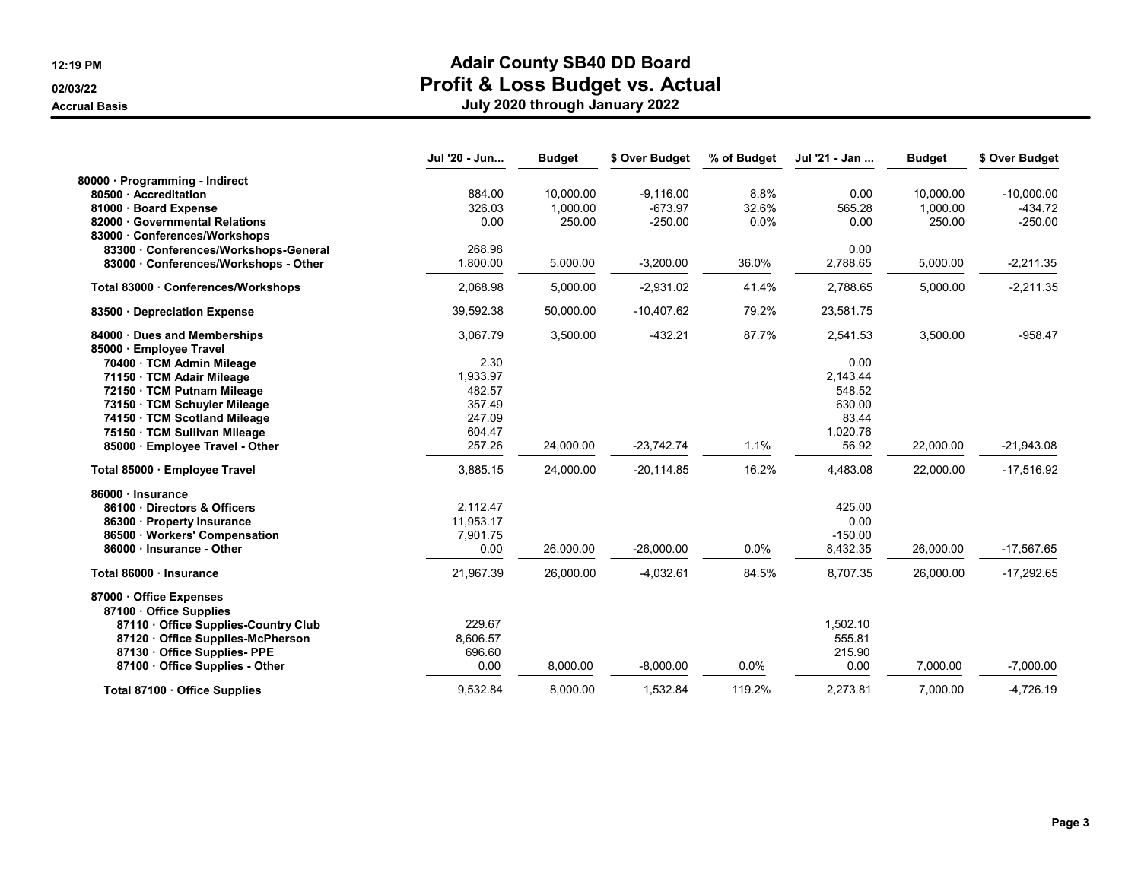|                                       | Jul '20 - Jun | <b>Budget</b> | \$ Over Budget | % of Budget | Jul '21 - Jan | <b>Budget</b> | \$ Over Budget |
|---------------------------------------|---------------|---------------|----------------|-------------|---------------|---------------|----------------|
| 80000 · Programming - Indirect        |               |               |                |             |               |               |                |
| 80500 Accreditation                   | 884.00        | 10,000.00     | $-9,116.00$    | 8.8%        | 0.00          | 10,000.00     | $-10,000.00$   |
| 81000 · Board Expense                 | 326.03        | 1,000.00      | $-673.97$      | 32.6%       | 565.28        | 1,000.00      | $-434.72$      |
| 82000 · Governmental Relations        | 0.00          | 250.00        | $-250.00$      | 0.0%        | 0.00          | 250.00        | $-250.00$      |
| 83000 Conferences/Workshops           |               |               |                |             |               |               |                |
| 83300 Conferences/Workshops-General   | 268.98        |               |                |             | 0.00          |               |                |
| 83000 · Conferences/Workshops - Other | 1,800.00      | 5,000.00      | $-3,200.00$    | 36.0%       | 2,788.65      | 5,000.00      | $-2,211.35$    |
| Total 83000 · Conferences/Workshops   | 2,068.98      | 5,000.00      | $-2,931.02$    | 41.4%       | 2,788.65      | 5,000.00      | $-2,211.35$    |
| 83500 Depreciation Expense            | 39,592.38     | 50,000.00     | $-10,407.62$   | 79.2%       | 23,581.75     |               |                |
| 84000 · Dues and Memberships          | 3,067.79      | 3,500.00      | $-432.21$      | 87.7%       | 2,541.53      | 3,500.00      | $-958.47$      |
| 85000 · Employee Travel               |               |               |                |             |               |               |                |
| 70400 · TCM Admin Mileage             | 2.30          |               |                |             | 0.00          |               |                |
| 71150 · TCM Adair Mileage             | 1,933.97      |               |                |             | 2,143.44      |               |                |
| 72150 · TCM Putnam Mileage            | 482.57        |               |                |             | 548.52        |               |                |
| 73150 · TCM Schuyler Mileage          | 357.49        |               |                |             | 630.00        |               |                |
| 74150 · TCM Scotland Mileage          | 247.09        |               |                |             | 83.44         |               |                |
| 75150 · TCM Sullivan Mileage          | 604.47        |               |                |             | 1,020.76      |               |                |
| 85000 · Employee Travel - Other       | 257.26        | 24,000.00     | $-23,742.74$   | 1.1%        | 56.92         | 22,000.00     | $-21,943.08$   |
| Total 85000 · Employee Travel         | 3,885.15      | 24,000.00     | $-20,114.85$   | 16.2%       | 4,483.08      | 22,000.00     | $-17,516.92$   |
| 86000 · Insurance                     |               |               |                |             |               |               |                |
| 86100 Directors & Officers            | 2,112.47      |               |                |             | 425.00        |               |                |
| 86300 · Property Insurance            | 11,953.17     |               |                |             | 0.00          |               |                |
| 86500 · Workers' Compensation         | 7,901.75      |               |                |             | $-150.00$     |               |                |
| 86000 Insurance - Other               | 0.00          | 26,000.00     | $-26,000.00$   | 0.0%        | 8,432.35      | 26,000.00     | $-17,567.65$   |
| Total 86000 · Insurance               | 21,967.39     | 26,000.00     | $-4,032.61$    | 84.5%       | 8,707.35      | 26,000.00     | $-17,292.65$   |
| 87000 Office Expenses                 |               |               |                |             |               |               |                |
| 87100 Office Supplies                 |               |               |                |             |               |               |                |
| 87110 · Office Supplies-Country Club  | 229.67        |               |                |             | 1,502.10      |               |                |
| 87120 Office Supplies-McPherson       | 8,606.57      |               |                |             | 555.81        |               |                |
| 87130 Office Supplies-PPE             | 696.60        |               |                |             | 215.90        |               |                |
| 87100 Office Supplies - Other         | 0.00          | 8,000.00      | $-8,000.00$    | 0.0%        | 0.00          | 7,000.00      | $-7,000.00$    |
| Total 87100 · Office Supplies         | 9.532.84      | 8.000.00      | 1.532.84       | 119.2%      | 2.273.81      | 7.000.00      | $-4.726.19$    |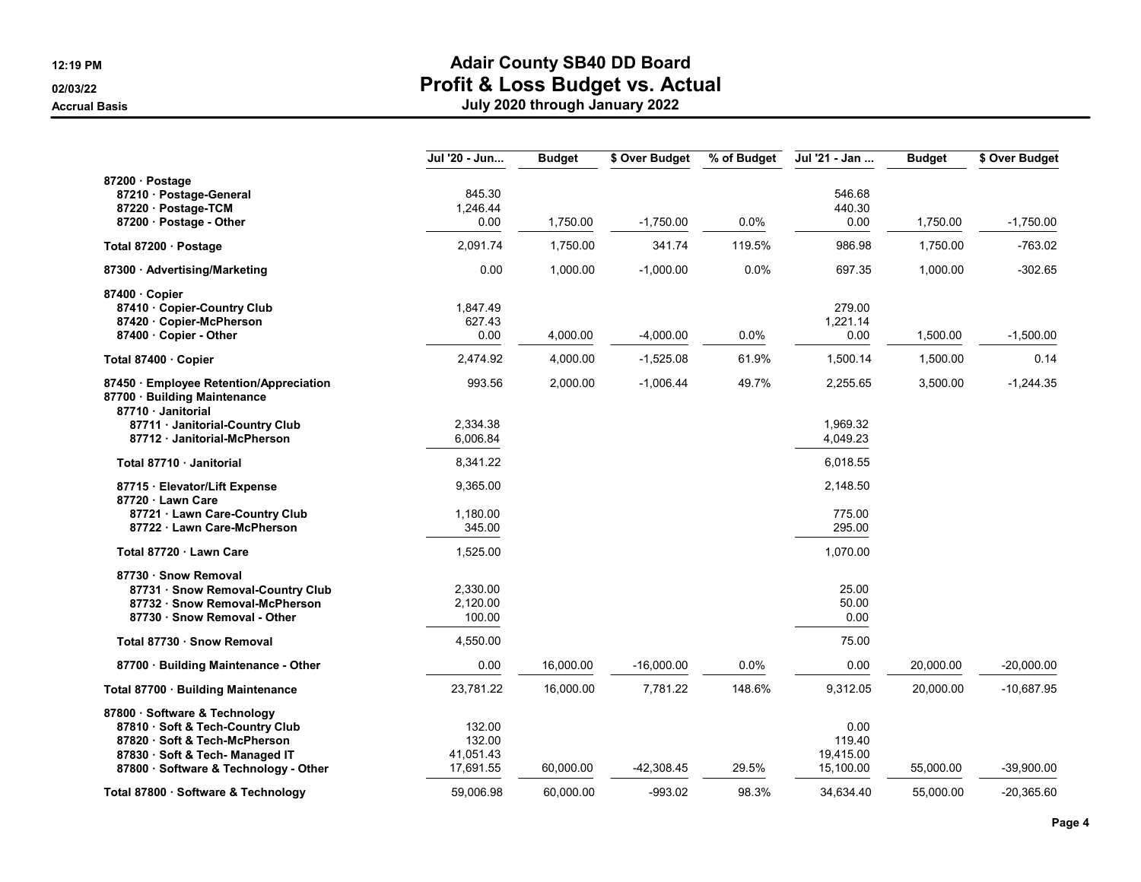|                                                                                                                                                                                | Jul '20 - Jun                              | <b>Budget</b> | \$ Over Budget | % of Budget | Jul '21 - Jan                            | <b>Budget</b> | \$ Over Budget |
|--------------------------------------------------------------------------------------------------------------------------------------------------------------------------------|--------------------------------------------|---------------|----------------|-------------|------------------------------------------|---------------|----------------|
| 87200 · Postage<br>87210 · Postage-General<br>87220 · Postage-TCM<br>87200 · Postage - Other                                                                                   | 845.30<br>1,246.44<br>0.00                 | 1,750.00      | $-1,750.00$    | 0.0%        | 546.68<br>440.30<br>0.00                 | 1,750.00      | $-1,750.00$    |
| Total 87200 · Postage                                                                                                                                                          | 2,091.74                                   | 1,750.00      | 341.74         | 119.5%      | 986.98                                   | 1,750.00      | -763.02        |
| 87300 · Advertising/Marketing                                                                                                                                                  | 0.00                                       | 1,000.00      | $-1,000.00$    | 0.0%        | 697.35                                   | 1,000.00      | $-302.65$      |
| 87400 Copier<br>87410 · Copier-Country Club<br>87420 · Copier-McPherson<br>87400 · Copier - Other                                                                              | 1,847.49<br>627.43<br>0.00                 | 4,000.00      | $-4,000.00$    | 0.0%        | 279.00<br>1,221.14<br>0.00               | 1,500.00      | $-1,500.00$    |
| Total 87400 · Copier                                                                                                                                                           | 2,474.92                                   | 4,000.00      | $-1,525.08$    | 61.9%       | 1,500.14                                 | 1,500.00      | 0.14           |
| 87450 · Employee Retention/Appreciation<br>87700 · Building Maintenance<br>87710 Janitorial                                                                                    | 993.56                                     | 2,000.00      | $-1,006.44$    | 49.7%       | 2,255.65                                 | 3,500.00      | $-1,244.35$    |
| 87711 · Janitorial-Country Club<br>87712 · Janitorial-McPherson                                                                                                                | 2,334.38<br>6,006.84                       |               |                |             | 1,969.32<br>4,049.23                     |               |                |
| Total 87710 · Janitorial                                                                                                                                                       | 8,341.22                                   |               |                |             | 6,018.55                                 |               |                |
| 87715 · Elevator/Lift Expense<br>87720 · Lawn Care<br>87721 · Lawn Care-Country Club<br>87722 · Lawn Care-McPherson                                                            | 9,365.00<br>1,180.00<br>345.00             |               |                |             | 2,148.50<br>775.00<br>295.00             |               |                |
| Total 87720 · Lawn Care                                                                                                                                                        | 1,525.00                                   |               |                |             | 1,070.00                                 |               |                |
| 87730 · Snow Removal<br>87731 · Snow Removal-Country Club<br>87732 · Snow Removal-McPherson<br>87730 · Snow Removal - Other                                                    | 2,330.00<br>2,120.00<br>100.00             |               |                |             | 25.00<br>50.00<br>0.00                   |               |                |
| Total 87730 · Snow Removal                                                                                                                                                     | 4,550.00                                   |               |                |             | 75.00                                    |               |                |
| 87700 · Building Maintenance - Other                                                                                                                                           | 0.00                                       | 16,000.00     | $-16,000.00$   | 0.0%        | 0.00                                     | 20,000.00     | $-20,000.00$   |
| Total 87700 · Building Maintenance                                                                                                                                             | 23,781.22                                  | 16,000.00     | 7,781.22       | 148.6%      | 9,312.05                                 | 20,000.00     | $-10,687.95$   |
| 87800 · Software & Technology<br>87810 · Soft & Tech-Country Club<br>87820 · Soft & Tech-McPherson<br>87830 · Soft & Tech- Managed IT<br>87800 · Software & Technology - Other | 132.00<br>132.00<br>41,051.43<br>17,691.55 | 60,000.00     | -42,308.45     | 29.5%       | 0.00<br>119.40<br>19,415.00<br>15,100.00 | 55,000.00     | $-39,900.00$   |
| Total 87800 · Software & Technology                                                                                                                                            | 59.006.98                                  | 60.000.00     | $-993.02$      | 98.3%       | 34.634.40                                | 55.000.00     | $-20.365.60$   |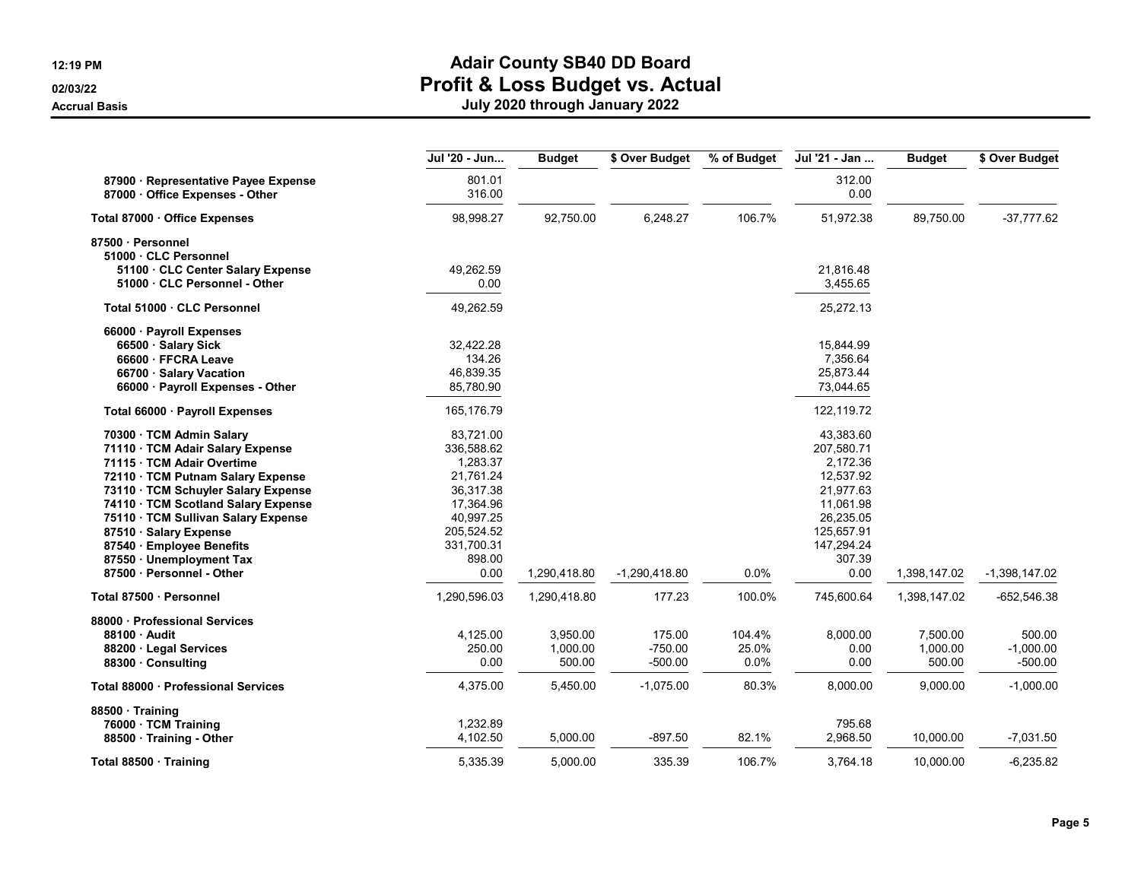|                                                                       | Jul '20 - Jun    | <b>Budget</b> | \$ Over Budget  | % of Budget | Jul '21 - Jan  | <b>Budget</b> | \$ Over Budget  |
|-----------------------------------------------------------------------|------------------|---------------|-----------------|-------------|----------------|---------------|-----------------|
| 87900 · Representative Payee Expense<br>87000 Office Expenses - Other | 801.01<br>316.00 |               |                 |             | 312.00<br>0.00 |               |                 |
| Total 87000 · Office Expenses                                         | 98,998.27        | 92,750.00     | 6,248.27        | 106.7%      | 51,972.38      | 89,750.00     | $-37,777.62$    |
| 87500 · Personnel                                                     |                  |               |                 |             |                |               |                 |
| 51000 · CLC Personnel                                                 |                  |               |                 |             |                |               |                 |
| 51100 · CLC Center Salary Expense                                     | 49,262.59        |               |                 |             | 21,816.48      |               |                 |
| 51000 · CLC Personnel - Other                                         | 0.00             |               |                 |             | 3,455.65       |               |                 |
| Total 51000 · CLC Personnel                                           | 49,262.59        |               |                 |             | 25,272.13      |               |                 |
| 66000 · Payroll Expenses                                              |                  |               |                 |             |                |               |                 |
| 66500 · Salary Sick                                                   | 32,422.28        |               |                 |             | 15,844.99      |               |                 |
| 66600 · FFCRA Leave                                                   | 134.26           |               |                 |             | 7,356.64       |               |                 |
| 66700 · Salary Vacation                                               | 46,839.35        |               |                 |             | 25,873.44      |               |                 |
| 66000 · Payroll Expenses - Other                                      | 85,780.90        |               |                 |             | 73,044.65      |               |                 |
| Total 66000 · Payroll Expenses                                        | 165,176.79       |               |                 |             | 122,119.72     |               |                 |
| 70300 · TCM Admin Salary                                              | 83,721.00        |               |                 |             | 43,383.60      |               |                 |
| 71110 · TCM Adair Salary Expense                                      | 336,588.62       |               |                 |             | 207,580.71     |               |                 |
| 71115 TCM Adair Overtime                                              | 1,283.37         |               |                 |             | 2,172.36       |               |                 |
| 72110 · TCM Putnam Salary Expense                                     | 21,761.24        |               |                 |             | 12,537.92      |               |                 |
| 73110 · TCM Schuyler Salary Expense                                   | 36,317.38        |               |                 |             | 21,977.63      |               |                 |
| 74110 · TCM Scotland Salary Expense                                   | 17,364.96        |               |                 |             | 11,061.98      |               |                 |
| 75110 · TCM Sullivan Salary Expense                                   | 40,997.25        |               |                 |             | 26,235.05      |               |                 |
| 87510 · Salary Expense                                                | 205,524.52       |               |                 |             | 125,657.91     |               |                 |
| 87540 · Employee Benefits                                             | 331,700.31       |               |                 |             | 147,294.24     |               |                 |
| 87550 · Unemployment Tax                                              | 898.00           |               |                 |             | 307.39         |               |                 |
| 87500 · Personnel - Other                                             | 0.00             | 1,290,418.80  | $-1,290,418.80$ | 0.0%        | 0.00           | 1,398,147.02  | $-1,398,147.02$ |
| Total 87500 · Personnel                                               | 1,290,596.03     | 1,290,418.80  | 177.23          | 100.0%      | 745,600.64     | 1,398,147.02  | $-652,546.38$   |
| 88000 · Professional Services                                         |                  |               |                 |             |                |               |                 |
| 88100 · Audit                                                         | 4,125.00         | 3,950.00      | 175.00          | 104.4%      | 8,000.00       | 7,500.00      | 500.00          |
| 88200 · Legal Services                                                | 250.00           | 1,000.00      | $-750.00$       | 25.0%       | 0.00           | 1,000.00      | $-1,000.00$     |
| 88300 · Consulting                                                    | 0.00             | 500.00        | $-500.00$       | 0.0%        | 0.00           | 500.00        | $-500.00$       |
| Total 88000 · Professional Services                                   | 4,375.00         | 5,450.00      | $-1,075.00$     | 80.3%       | 8,000.00       | 9,000.00      | $-1,000.00$     |
| 88500 · Training                                                      |                  |               |                 |             |                |               |                 |
| 76000 · TCM Training                                                  | 1,232.89         |               |                 |             | 795.68         |               |                 |
| 88500 · Training - Other                                              | 4,102.50         | 5,000.00      | $-897.50$       | 82.1%       | 2,968.50       | 10,000.00     | $-7,031.50$     |
| Total 88500 · Training                                                | 5,335.39         | 5,000.00      | 335.39          | 106.7%      | 3,764.18       | 10,000.00     | $-6,235.82$     |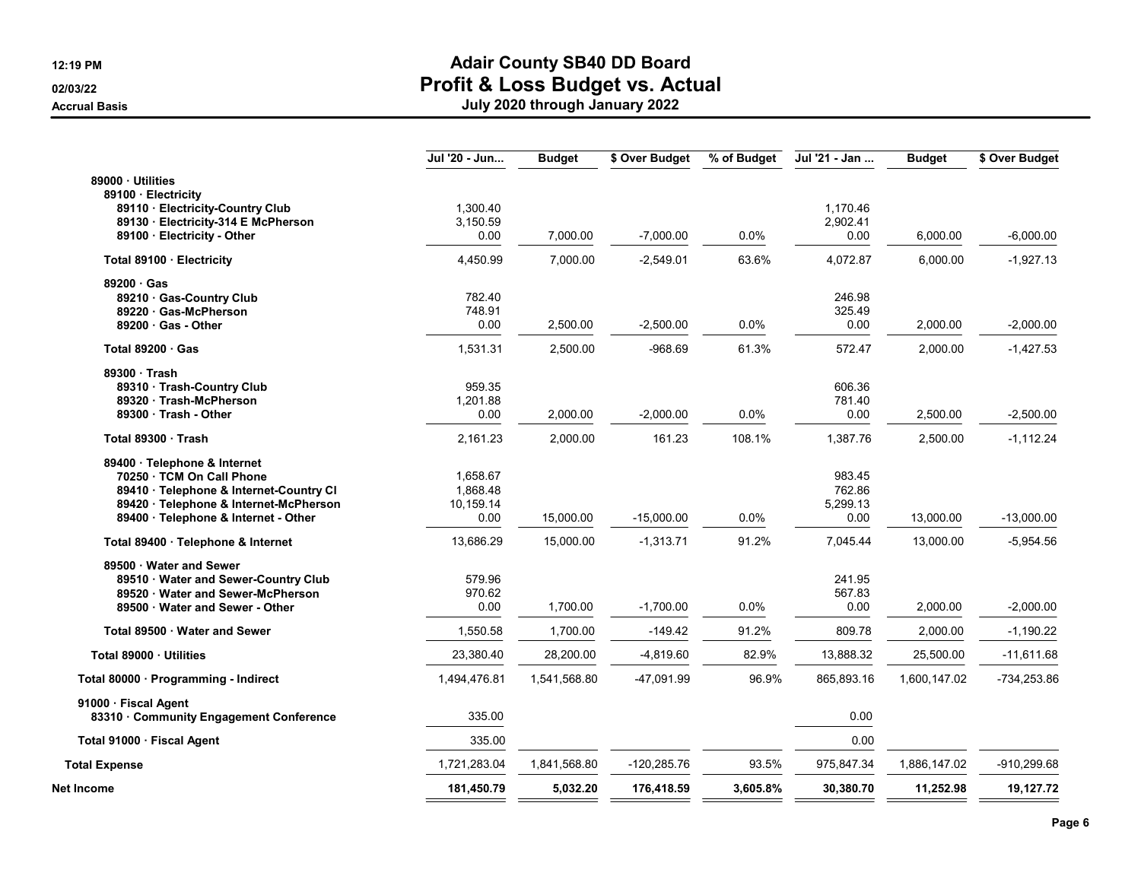|                                         | Jul '20 - Jun | <b>Budget</b> | \$ Over Budget | % of Budget | Jul '21 - Jan | <b>Budget</b> | \$ Over Budget |
|-----------------------------------------|---------------|---------------|----------------|-------------|---------------|---------------|----------------|
| 89000 · Utilities                       |               |               |                |             |               |               |                |
| 89100 · Electricity                     |               |               |                |             |               |               |                |
| 89110 · Electricity-Country Club        | 1,300.40      |               |                |             | 1,170.46      |               |                |
| 89130 · Electricity-314 E McPherson     | 3,150.59      |               |                |             | 2,902.41      |               |                |
| 89100 · Electricity - Other             | 0.00          | 7,000.00      | $-7,000.00$    | 0.0%        | 0.00          | 6,000.00      | $-6,000.00$    |
| Total 89100 · Electricity               | 4,450.99      | 7,000.00      | $-2,549.01$    | 63.6%       | 4,072.87      | 6,000.00      | $-1,927.13$    |
| 89200 Gas                               |               |               |                |             |               |               |                |
| 89210 · Gas-Country Club                | 782.40        |               |                |             | 246.98        |               |                |
| 89220 · Gas-McPherson                   | 748.91        |               |                |             | 325.49        |               |                |
| $89200 \cdot Gas$ - Other               | 0.00          | 2,500.00      | $-2,500.00$    | 0.0%        | 0.00          | 2,000.00      | $-2,000.00$    |
| Total $89200 \cdot Gas$                 | 1,531.31      | 2,500.00      | $-968.69$      | 61.3%       | 572.47        | 2,000.00      | $-1,427.53$    |
| 89300 Trash                             |               |               |                |             |               |               |                |
| 89310 · Trash-Country Club              | 959.35        |               |                |             | 606.36        |               |                |
| 89320 · Trash-McPherson                 | 1,201.88      |               |                |             | 781.40        |               |                |
| 89300 · Trash - Other                   | 0.00          | 2,000.00      | $-2,000.00$    | 0.0%        | 0.00          | 2,500.00      | $-2,500.00$    |
| Total 89300 Trash                       | 2,161.23      | 2,000.00      | 161.23         | 108.1%      | 1,387.76      | 2,500.00      | $-1,112.24$    |
| 89400 · Telephone & Internet            |               |               |                |             |               |               |                |
| 70250 · TCM On Call Phone               | 1,658.67      |               |                |             | 983.45        |               |                |
| 89410 · Telephone & Internet-Country CI | 1,868.48      |               |                |             | 762.86        |               |                |
| 89420 · Telephone & Internet-McPherson  | 10,159.14     |               |                |             | 5,299.13      |               |                |
| 89400 · Telephone & Internet - Other    | 0.00          | 15,000.00     | $-15,000.00$   | 0.0%        | 0.00          | 13,000.00     | $-13,000.00$   |
| Total 89400 · Telephone & Internet      | 13,686.29     | 15,000.00     | $-1,313.71$    | 91.2%       | 7,045.44      | 13,000.00     | $-5,954.56$    |
| 89500 Water and Sewer                   |               |               |                |             |               |               |                |
| 89510 · Water and Sewer-Country Club    | 579.96        |               |                |             | 241.95        |               |                |
| 89520 Water and Sewer-McPherson         | 970.62        |               |                |             | 567.83        |               |                |
| 89500 Water and Sewer - Other           | 0.00          | 1,700.00      | $-1,700.00$    | 0.0%        | 0.00          | 2,000.00      | $-2,000.00$    |
| Total 89500 · Water and Sewer           | 1,550.58      | 1,700.00      | $-149.42$      | 91.2%       | 809.78        | 2,000.00      | $-1,190.22$    |
| Total 89000 · Utilities                 | 23,380.40     | 28,200.00     | $-4,819.60$    | 82.9%       | 13,888.32     | 25,500.00     | $-11,611.68$   |
| Total 80000 · Programming - Indirect    | 1,494,476.81  | 1,541,568.80  | -47,091.99     | 96.9%       | 865,893.16    | 1,600,147.02  | -734,253.86    |
| 91000 · Fiscal Agent                    |               |               |                |             |               |               |                |
| 83310 · Community Engagement Conference | 335.00        |               |                |             | 0.00          |               |                |
| Total 91000 · Fiscal Agent              | 335.00        |               |                |             | 0.00          |               |                |
| <b>Total Expense</b>                    | 1,721,283.04  | 1,841,568.80  | $-120,285.76$  | 93.5%       | 975,847.34    | 1,886,147.02  | -910,299.68    |
| Net Income                              | 181,450.79    | 5,032.20      | 176,418.59     | 3,605.8%    | 30,380.70     | 11,252.98     | 19,127.72      |
|                                         |               |               |                |             |               |               |                |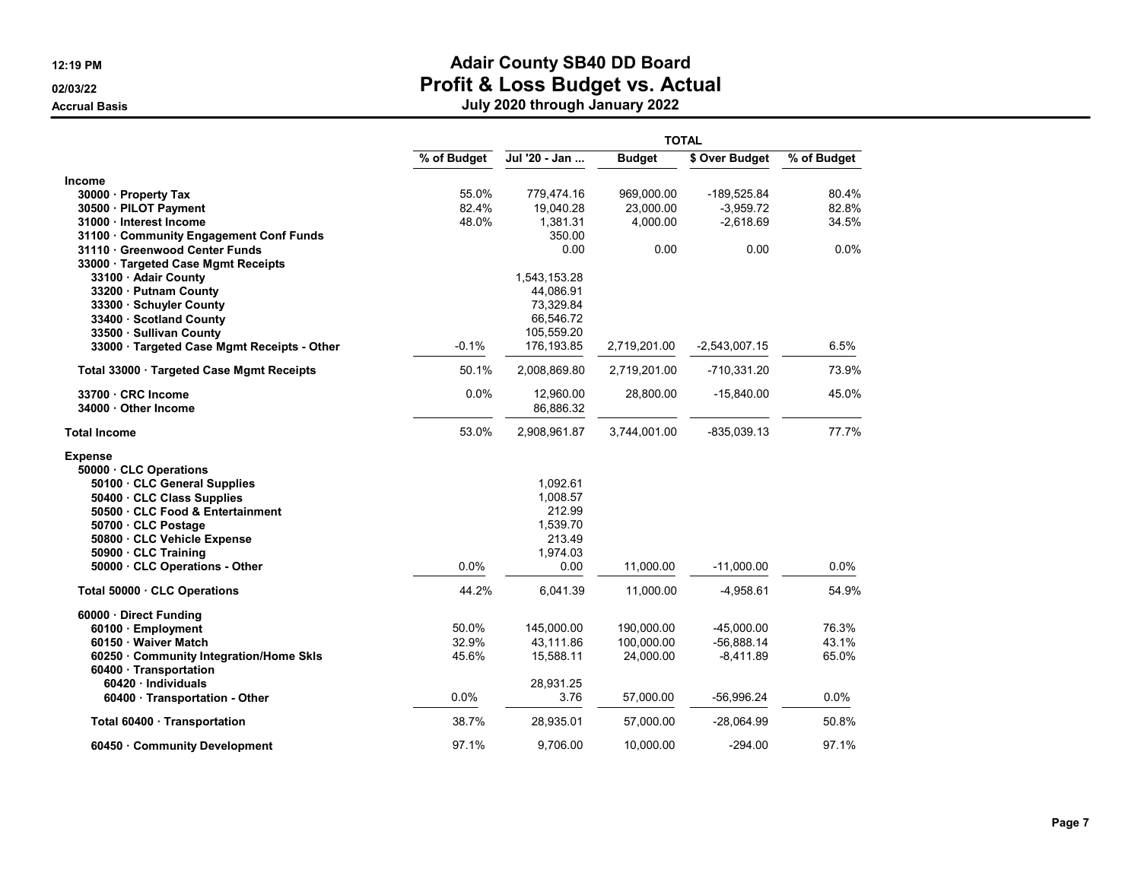|                                             |             | <b>TOTAL</b>  |               |                 |             |  |  |
|---------------------------------------------|-------------|---------------|---------------|-----------------|-------------|--|--|
|                                             | % of Budget | Jul '20 - Jan | <b>Budget</b> | \$ Over Budget  | % of Budget |  |  |
| <b>Income</b>                               |             |               |               |                 |             |  |  |
| 30000 · Property Tax                        | 55.0%       | 779,474.16    | 969,000.00    | -189,525.84     | 80.4%       |  |  |
| 30500 · PILOT Payment                       | 82.4%       | 19,040.28     | 23,000.00     | $-3,959.72$     | 82.8%       |  |  |
| 31000 Interest Income                       | 48.0%       | 1,381.31      | 4,000.00      | $-2,618.69$     | 34.5%       |  |  |
| 31100 · Community Engagement Conf Funds     |             | 350.00        |               |                 |             |  |  |
| 31110 Greenwood Center Funds                |             | 0.00          | 0.00          | 0.00            | 0.0%        |  |  |
| 33000 · Targeted Case Mgmt Receipts         |             |               |               |                 |             |  |  |
| 33100 · Adair County                        |             | 1,543,153.28  |               |                 |             |  |  |
| 33200 · Putnam County                       |             | 44,086.91     |               |                 |             |  |  |
| 33300 · Schuyler County                     |             | 73,329.84     |               |                 |             |  |  |
| 33400 · Scotland County                     |             | 66,546.72     |               |                 |             |  |  |
| 33500 · Sullivan County                     |             | 105,559.20    |               |                 |             |  |  |
| 33000 · Targeted Case Mgmt Receipts - Other | $-0.1%$     | 176,193.85    | 2,719,201.00  | $-2,543,007.15$ | 6.5%        |  |  |
| Total 33000 · Targeted Case Mgmt Receipts   | 50.1%       | 2,008,869.80  | 2,719,201.00  | -710,331.20     | 73.9%       |  |  |
| 33700 CRC Income                            | 0.0%        | 12,960.00     | 28,800.00     | $-15,840.00$    | 45.0%       |  |  |
| 34000 · Other Income                        |             | 86,886.32     |               |                 |             |  |  |
| <b>Total Income</b>                         | 53.0%       | 2,908,961.87  | 3,744,001.00  | $-835.039.13$   | 77.7%       |  |  |
| <b>Expense</b>                              |             |               |               |                 |             |  |  |
| 50000 CLC Operations                        |             |               |               |                 |             |  |  |
| 50100 · CLC General Supplies                |             | 1,092.61      |               |                 |             |  |  |
| 50400 · CLC Class Supplies                  |             | 1,008.57      |               |                 |             |  |  |
| 50500 · CLC Food & Entertainment            |             | 212.99        |               |                 |             |  |  |
| 50700 · CLC Postage                         |             | 1,539.70      |               |                 |             |  |  |
| 50800 · CLC Vehicle Expense                 |             | 213.49        |               |                 |             |  |  |
| 50900 · CLC Training                        |             | 1,974.03      |               |                 |             |  |  |
| 50000 · CLC Operations - Other              | 0.0%        | 0.00          | 11,000.00     | $-11,000.00$    | $0.0\%$     |  |  |
| Total 50000 CLC Operations                  | 44.2%       | 6,041.39      | 11,000.00     | $-4,958.61$     | 54.9%       |  |  |
| 60000 · Direct Funding                      |             |               |               |                 |             |  |  |
| 60100 · Employment                          | 50.0%       | 145,000.00    | 190,000.00    | $-45,000.00$    | 76.3%       |  |  |
| 60150 · Waiver Match                        | 32.9%       | 43,111.86     | 100,000.00    | $-56,888.14$    | 43.1%       |  |  |
| 60250 Community Integration/Home Skls       | 45.6%       | 15,588.11     | 24,000.00     | $-8,411.89$     | 65.0%       |  |  |
| 60400 · Transportation                      |             |               |               |                 |             |  |  |
| 60420 Individuals                           |             | 28,931.25     |               |                 |             |  |  |
| 60400 · Transportation - Other              | 0.0%        | 3.76          | 57,000.00     | $-56,996.24$    | 0.0%        |  |  |
| Total 60400 · Transportation                | 38.7%       | 28,935.01     | 57,000.00     | $-28,064.99$    | 50.8%       |  |  |
| 60450 Community Development                 | 97.1%       | 9,706.00      | 10,000.00     | -294.00         | 97.1%       |  |  |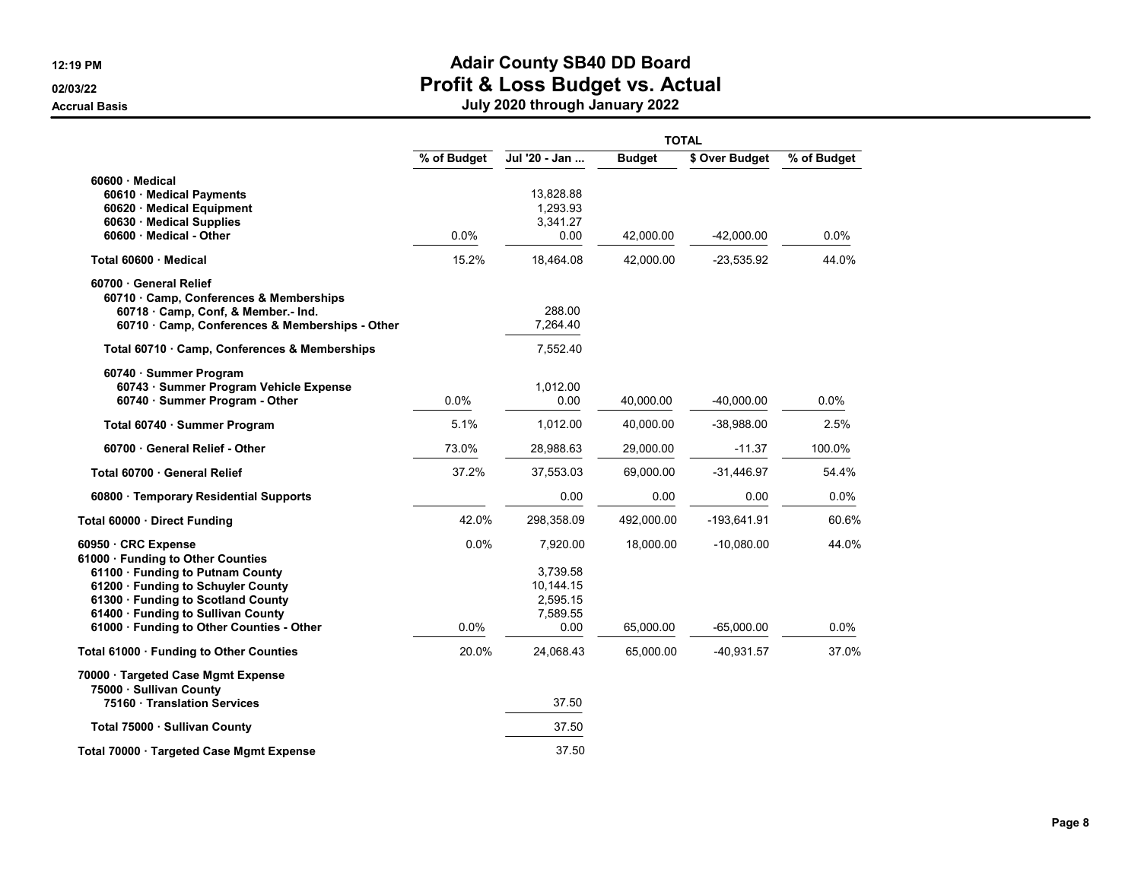|                                                                                                                                                                                                                                                           |              | <b>TOTAL</b>                                                      |                        |                              |               |  |  |
|-----------------------------------------------------------------------------------------------------------------------------------------------------------------------------------------------------------------------------------------------------------|--------------|-------------------------------------------------------------------|------------------------|------------------------------|---------------|--|--|
|                                                                                                                                                                                                                                                           | % of Budget  | Jul '20 - Jan                                                     | <b>Budget</b>          | \$ Over Budget               | % of Budget   |  |  |
| $60600 \cdot$ Medical<br>60610 · Medical Payments<br>60620 · Medical Equipment<br>60630 · Medical Supplies<br>60600 Medical - Other                                                                                                                       | 0.0%         | 13,828.88<br>1,293.93<br>3,341.27<br>0.00                         | 42,000.00              | $-42,000.00$                 | 0.0%          |  |  |
| Total 60600 Medical                                                                                                                                                                                                                                       | 15.2%        | 18,464.08                                                         | 42,000.00              | $-23,535.92$                 | 44.0%         |  |  |
| 60700 General Relief<br>60710 · Camp, Conferences & Memberships<br>60718 Camp, Conf, & Member.- Ind.<br>60710 · Camp, Conferences & Memberships - Other                                                                                                   |              | 288.00<br>7,264.40                                                |                        |                              |               |  |  |
| Total 60710 · Camp, Conferences & Memberships                                                                                                                                                                                                             |              | 7,552.40                                                          |                        |                              |               |  |  |
| 60740 · Summer Program<br>60743 · Summer Program Vehicle Expense<br>60740 · Summer Program - Other                                                                                                                                                        | 0.0%         | 1.012.00<br>0.00                                                  | 40,000.00              | $-40,000.00$                 | 0.0%          |  |  |
| Total 60740 · Summer Program                                                                                                                                                                                                                              | 5.1%         | 1,012.00                                                          | 40,000.00              | $-38,988.00$                 | 2.5%          |  |  |
| 60700 General Relief - Other                                                                                                                                                                                                                              | 73.0%        | 28,988.63                                                         | 29,000.00              | $-11.37$                     | 100.0%        |  |  |
| Total 60700 · General Relief                                                                                                                                                                                                                              | 37.2%        | 37,553.03                                                         | 69,000.00              | $-31,446.97$                 | 54.4%         |  |  |
| 60800 · Temporary Residential Supports                                                                                                                                                                                                                    |              | 0.00                                                              | 0.00                   | 0.00                         | 0.0%          |  |  |
| Total 60000 · Direct Funding                                                                                                                                                                                                                              | 42.0%        | 298,358.09                                                        | 492,000.00             | $-193,641.91$                | 60.6%         |  |  |
| 60950 CRC Expense<br>61000 · Funding to Other Counties<br>61100 · Funding to Putnam County<br>61200 · Funding to Schuyler County<br>61300 · Funding to Scotland County<br>61400 · Funding to Sullivan County<br>61000 · Funding to Other Counties - Other | 0.0%<br>0.0% | 7,920.00<br>3.739.58<br>10,144.15<br>2,595.15<br>7,589.55<br>0.00 | 18,000.00<br>65,000.00 | $-10,080.00$<br>$-65,000.00$ | 44.0%<br>0.0% |  |  |
| Total 61000 · Funding to Other Counties                                                                                                                                                                                                                   | 20.0%        | 24,068.43                                                         | 65,000.00              | -40,931.57                   | 37.0%         |  |  |
| 70000 · Targeted Case Mgmt Expense<br>75000 · Sullivan County<br>75160 · Translation Services                                                                                                                                                             |              | 37.50                                                             |                        |                              |               |  |  |
| Total 75000 · Sullivan County                                                                                                                                                                                                                             |              | 37.50                                                             |                        |                              |               |  |  |
| Total 70000 · Targeted Case Mgmt Expense                                                                                                                                                                                                                  |              | 37.50                                                             |                        |                              |               |  |  |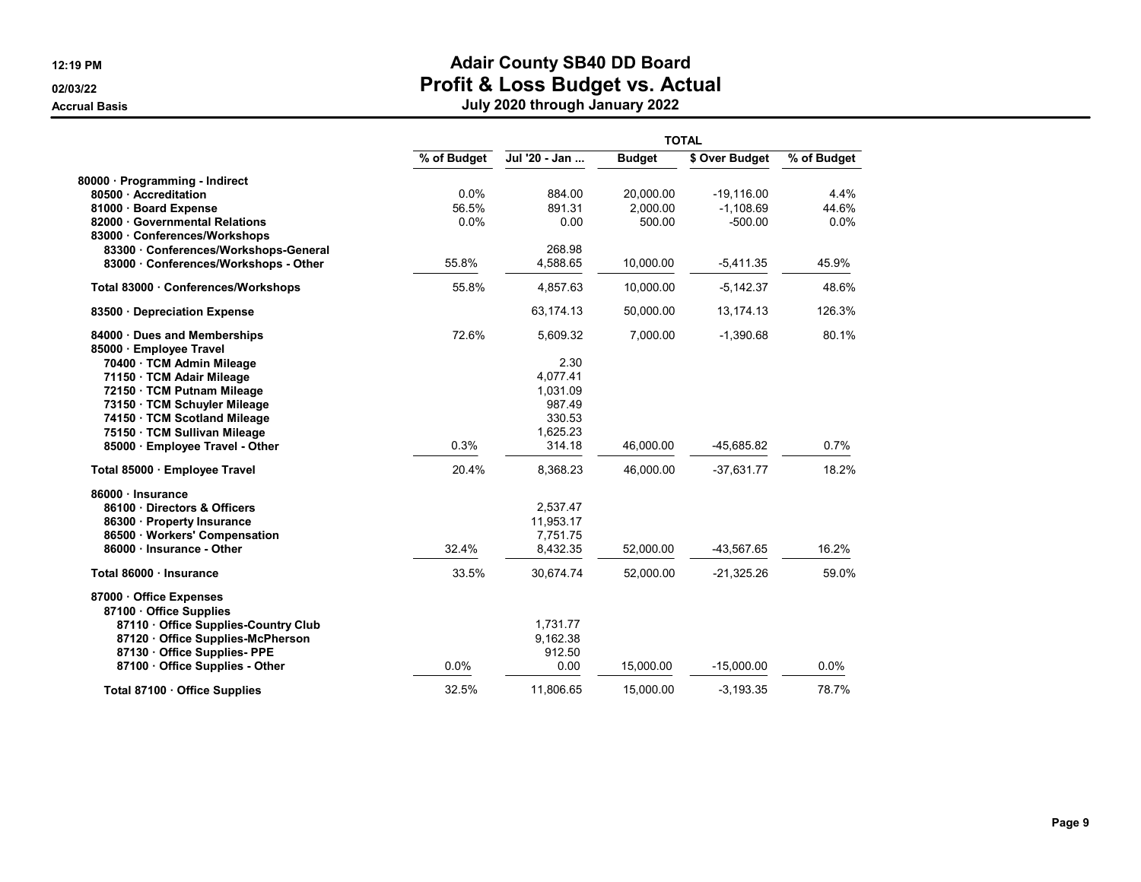|                                                          | <b>TOTAL</b> |                      |               |                |             |  |  |
|----------------------------------------------------------|--------------|----------------------|---------------|----------------|-------------|--|--|
|                                                          | % of Budget  | Jul '20 - Jan        | <b>Budget</b> | \$ Over Budget | % of Budget |  |  |
| 80000 · Programming - Indirect                           |              |                      |               |                |             |  |  |
| 80500 Accreditation                                      | 0.0%         | 884.00               | 20,000.00     | $-19,116.00$   | 4.4%        |  |  |
| 81000 · Board Expense                                    | 56.5%        | 891.31               | 2,000.00      | $-1,108.69$    | 44.6%       |  |  |
| 82000 · Governmental Relations                           | 0.0%         | 0.00                 | 500.00        | $-500.00$      | 0.0%        |  |  |
| 83000 · Conferences/Workshops                            |              |                      |               |                |             |  |  |
| 83300 · Conferences/Workshops-General                    |              | 268.98               |               |                |             |  |  |
| 83000 Conferences/Workshops - Other                      | 55.8%        | 4,588.65             | 10,000.00     | $-5,411.35$    | 45.9%       |  |  |
| Total 83000 · Conferences/Workshops                      | 55.8%        | 4,857.63             | 10,000.00     | $-5,142.37$    | 48.6%       |  |  |
| 83500 · Depreciation Expense                             |              | 63,174.13            | 50,000.00     | 13,174.13      | 126.3%      |  |  |
| 84000 · Dues and Memberships<br>85000 · Employee Travel  | 72.6%        | 5,609.32             | 7,000.00      | $-1,390.68$    | 80.1%       |  |  |
| 70400 · TCM Admin Mileage                                |              | 2.30                 |               |                |             |  |  |
| 71150 · TCM Adair Mileage                                |              | 4,077.41             |               |                |             |  |  |
| 72150 · TCM Putnam Mileage                               |              | 1.031.09             |               |                |             |  |  |
| 73150 · TCM Schuyler Mileage                             |              | 987.49               |               |                |             |  |  |
| 74150 · TCM Scotland Mileage                             |              | 330.53               |               |                |             |  |  |
| 75150 · TCM Sullivan Mileage                             |              | 1,625.23             |               |                |             |  |  |
| 85000 · Employee Travel - Other                          | 0.3%         | 314.18               | 46,000.00     | -45,685.82     | 0.7%        |  |  |
| Total 85000 · Employee Travel                            | 20.4%        | 8,368.23             | 46,000.00     | $-37,631.77$   | 18.2%       |  |  |
| 86000 · Insurance                                        |              |                      |               |                |             |  |  |
| 86100 Directors & Officers                               |              | 2,537.47             |               |                |             |  |  |
| 86300 · Property Insurance                               |              | 11,953.17            |               |                |             |  |  |
| 86500 Workers' Compensation<br>86000 · Insurance - Other | 32.4%        | 7.751.75<br>8,432.35 | 52,000.00     | -43,567.65     | 16.2%       |  |  |
|                                                          |              |                      |               |                |             |  |  |
| Total 86000 · Insurance                                  | 33.5%        | 30,674.74            | 52,000.00     | $-21,325.26$   | 59.0%       |  |  |
| 87000 · Office Expenses<br>87100 Office Supplies         |              |                      |               |                |             |  |  |
| 87110 · Office Supplies-Country Club                     |              | 1,731.77             |               |                |             |  |  |
| 87120 Office Supplies-McPherson                          |              | 9,162.38             |               |                |             |  |  |
| 87130 · Office Supplies- PPE                             |              | 912.50               |               |                |             |  |  |
| 87100 · Office Supplies - Other                          | 0.0%         | 0.00                 | 15,000.00     | $-15,000.00$   | 0.0%        |  |  |
| Total 87100 · Office Supplies                            | 32.5%        | 11,806.65            | 15,000.00     | $-3,193.35$    | 78.7%       |  |  |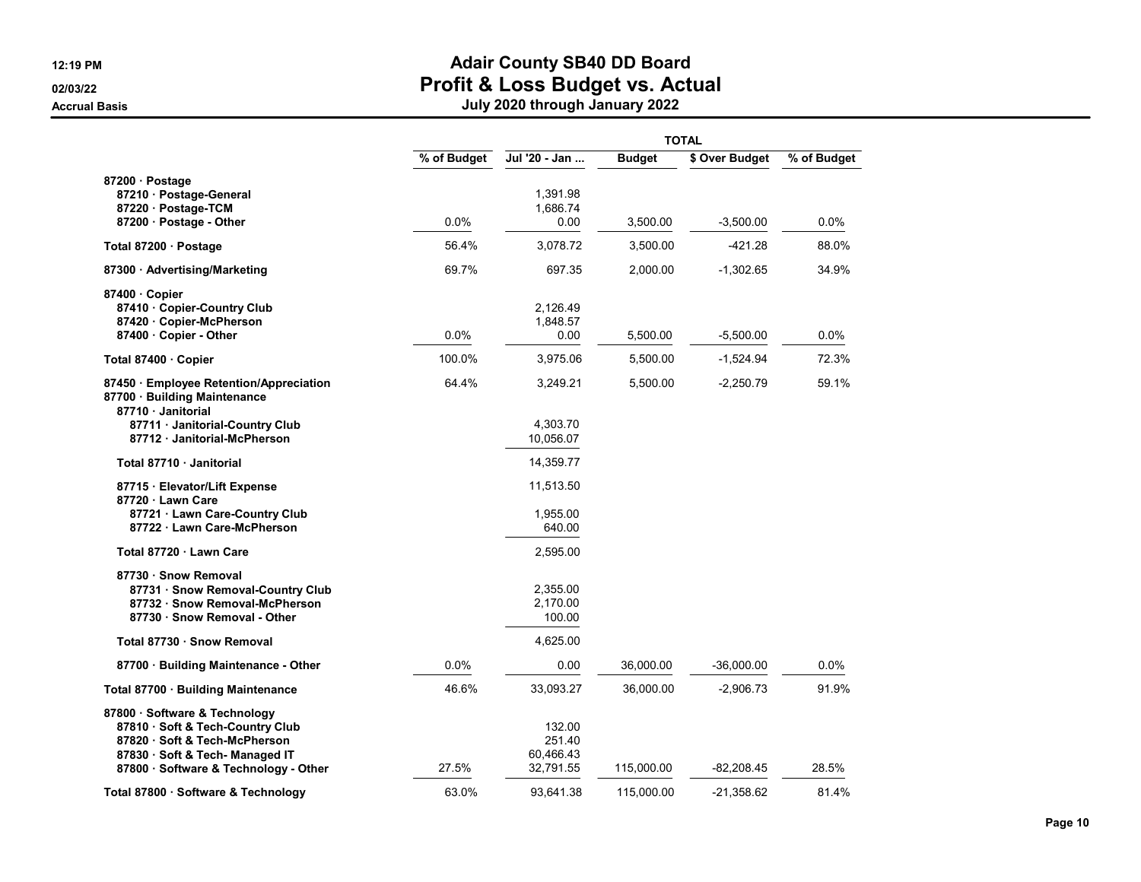|                                                                                                                                       |             | <b>TOTAL</b>                   |               |                |             |  |  |
|---------------------------------------------------------------------------------------------------------------------------------------|-------------|--------------------------------|---------------|----------------|-------------|--|--|
|                                                                                                                                       | % of Budget | Jul '20 - Jan                  | <b>Budget</b> | \$ Over Budget | % of Budget |  |  |
| 87200 · Postage<br>87210 · Postage-General                                                                                            |             | 1,391.98                       |               |                |             |  |  |
| 87220 · Postage-TCM<br>87200 · Postage - Other                                                                                        | 0.0%        | 1,686.74<br>0.00               | 3,500.00      | $-3,500.00$    | 0.0%        |  |  |
| Total 87200 · Postage                                                                                                                 | 56.4%       | 3,078.72                       | 3,500.00      | $-421.28$      | 88.0%       |  |  |
| 87300 · Advertising/Marketing                                                                                                         | 69.7%       | 697.35                         | 2,000.00      | $-1,302.65$    | 34.9%       |  |  |
| 87400 Copier<br>87410 Copier-Country Club<br>87420 Copier-McPherson                                                                   |             | 2,126.49<br>1,848.57           |               |                |             |  |  |
| 87400 Copier - Other                                                                                                                  | $0.0\%$     | 0.00                           | 5,500.00      | $-5,500.00$    | $0.0\%$     |  |  |
| Total 87400 · Copier                                                                                                                  | 100.0%      | 3,975.06                       | 5,500.00      | $-1,524.94$    | 72.3%       |  |  |
| 87450 · Employee Retention/Appreciation<br>87700 · Building Maintenance<br>87710 Janitorial                                           | 64.4%       | 3,249.21                       | 5,500.00      | $-2,250.79$    | 59.1%       |  |  |
| 87711 · Janitorial-Country Club<br>87712 · Janitorial-McPherson                                                                       |             | 4,303.70<br>10,056.07          |               |                |             |  |  |
| Total 87710 Janitorial                                                                                                                |             | 14,359.77                      |               |                |             |  |  |
| 87715 · Elevator/Lift Expense<br>87720 · Lawn Care                                                                                    |             | 11,513.50                      |               |                |             |  |  |
| 87721 · Lawn Care-Country Club<br>87722 · Lawn Care-McPherson                                                                         |             | 1,955.00<br>640.00             |               |                |             |  |  |
| Total 87720 · Lawn Care                                                                                                               |             | 2,595.00                       |               |                |             |  |  |
| 87730 · Snow Removal<br>87731 · Snow Removal-Country Club<br>87732 · Snow Removal-McPherson<br>87730 · Snow Removal - Other           |             | 2,355.00<br>2,170.00<br>100.00 |               |                |             |  |  |
| Total 87730 · Snow Removal                                                                                                            |             | 4,625.00                       |               |                |             |  |  |
| 87700 · Building Maintenance - Other                                                                                                  | $0.0\%$     | 0.00                           | 36,000.00     | $-36.000.00$   | $0.0\%$     |  |  |
| Total 87700 · Building Maintenance                                                                                                    | 46.6%       | 33,093.27                      | 36,000.00     | $-2,906.73$    | 91.9%       |  |  |
| 87800 · Software & Technology<br>87810 · Soft & Tech-Country Club<br>87820 · Soft & Tech-McPherson<br>87830 · Soft & Tech- Managed IT |             | 132.00<br>251.40<br>60,466.43  |               |                |             |  |  |
| 87800 · Software & Technology - Other                                                                                                 | 27.5%       | 32,791.55                      | 115,000.00    | -82,208.45     | 28.5%       |  |  |
| Total 87800 · Software & Technology                                                                                                   | 63.0%       | 93.641.38                      | 115.000.00    | -21.358.62     | 81.4%       |  |  |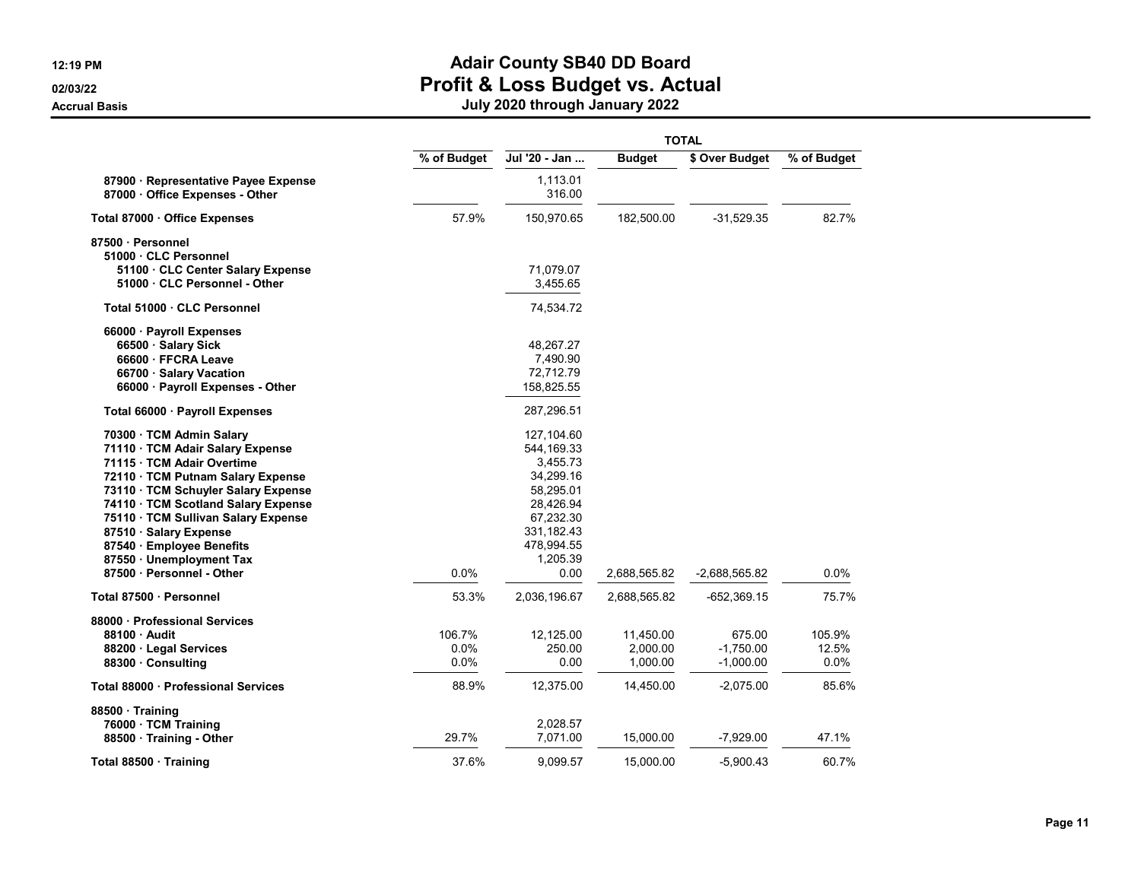|                                                                       |             | <b>TOTAL</b>       |               |                |             |  |  |
|-----------------------------------------------------------------------|-------------|--------------------|---------------|----------------|-------------|--|--|
|                                                                       | % of Budget | Jul '20 - Jan      | <b>Budget</b> | \$ Over Budget | % of Budget |  |  |
| 87900 · Representative Payee Expense<br>87000 Office Expenses - Other |             | 1,113.01<br>316.00 |               |                |             |  |  |
| Total 87000 · Office Expenses                                         | 57.9%       | 150,970.65         | 182,500.00    | $-31,529.35$   | 82.7%       |  |  |
| 87500 · Personnel                                                     |             |                    |               |                |             |  |  |
| 51000 CLC Personnel                                                   |             |                    |               |                |             |  |  |
| 51100 · CLC Center Salary Expense                                     |             | 71,079.07          |               |                |             |  |  |
| 51000 · CLC Personnel - Other                                         |             | 3,455.65           |               |                |             |  |  |
| Total 51000 · CLC Personnel                                           |             | 74,534.72          |               |                |             |  |  |
| 66000 · Payroll Expenses                                              |             |                    |               |                |             |  |  |
| 66500 · Salary Sick                                                   |             | 48,267.27          |               |                |             |  |  |
| 66600 · FFCRA Leave                                                   |             | 7,490.90           |               |                |             |  |  |
| 66700 · Salary Vacation                                               |             | 72,712.79          |               |                |             |  |  |
| 66000 · Payroll Expenses - Other                                      |             | 158,825.55         |               |                |             |  |  |
| Total 66000 · Payroll Expenses                                        |             | 287,296.51         |               |                |             |  |  |
| 70300 · TCM Admin Salary                                              |             | 127,104.60         |               |                |             |  |  |
| 71110 · TCM Adair Salary Expense                                      |             | 544,169.33         |               |                |             |  |  |
| 71115 · TCM Adair Overtime                                            |             | 3,455.73           |               |                |             |  |  |
| 72110 · TCM Putnam Salary Expense                                     |             | 34,299.16          |               |                |             |  |  |
| 73110 · TCM Schuyler Salary Expense                                   |             | 58,295.01          |               |                |             |  |  |
| 74110 · TCM Scotland Salary Expense                                   |             | 28,426.94          |               |                |             |  |  |
| 75110 · TCM Sullivan Salary Expense                                   |             | 67,232.30          |               |                |             |  |  |
| 87510 · Salary Expense                                                |             | 331,182.43         |               |                |             |  |  |
| 87540 · Employee Benefits                                             |             | 478,994.55         |               |                |             |  |  |
| 87550 · Unemployment Tax                                              |             | 1,205.39           |               |                |             |  |  |
| 87500 · Personnel - Other                                             | 0.0%        | 0.00               | 2,688,565.82  | -2,688,565.82  | 0.0%        |  |  |
| Total 87500 · Personnel                                               | 53.3%       | 2,036,196.67       | 2,688,565.82  | -652,369.15    | 75.7%       |  |  |
| 88000 · Professional Services                                         |             |                    |               |                |             |  |  |
| 88100 Audit                                                           | 106.7%      | 12,125.00          | 11,450.00     | 675.00         | 105.9%      |  |  |
| 88200 · Legal Services                                                | 0.0%        | 250.00             | 2,000.00      | $-1.750.00$    | 12.5%       |  |  |
| 88300 Consulting                                                      | 0.0%        | 0.00               | 1,000.00      | $-1,000.00$    | 0.0%        |  |  |
| Total 88000 · Professional Services                                   | 88.9%       | 12,375.00          | 14,450.00     | $-2,075.00$    | 85.6%       |  |  |
| 88500 · Training                                                      |             |                    |               |                |             |  |  |
| 76000 · TCM Training                                                  |             | 2,028.57           |               |                |             |  |  |
| 88500 Training - Other                                                | 29.7%       | 7,071.00           | 15,000.00     | $-7,929.00$    | 47.1%       |  |  |
| Total 88500 · Training                                                | 37.6%       | 9,099.57           | 15,000.00     | $-5,900.43$    | 60.7%       |  |  |